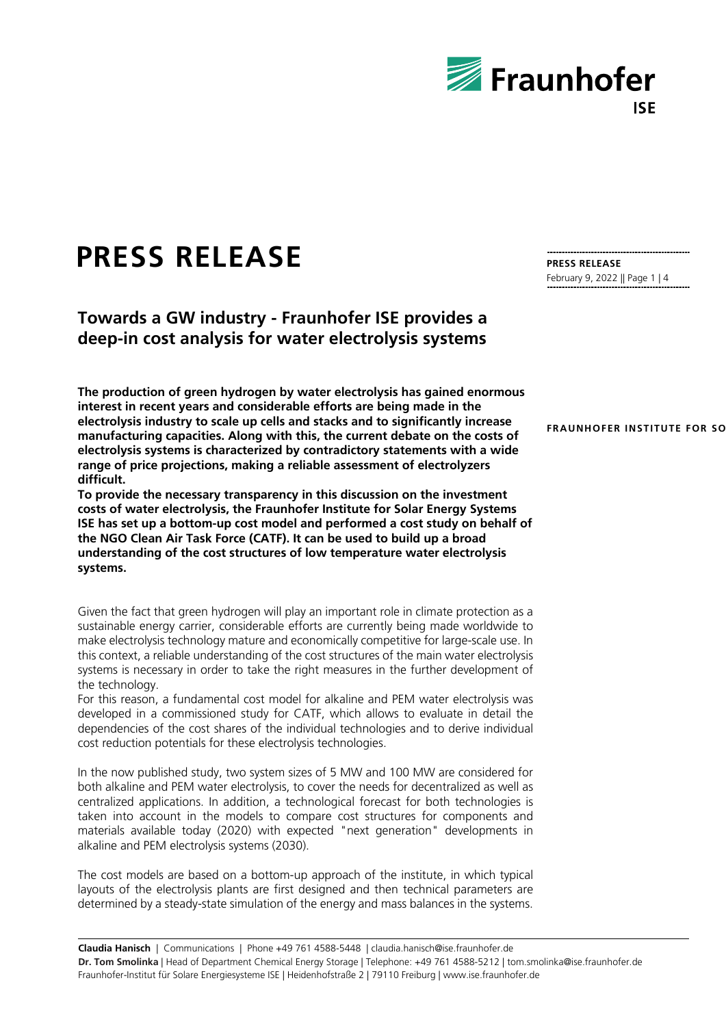

# **PRESS RELEASE**

**Towards a GW industry - Fraunhofer ISE provides a deep-in cost analysis for water electrolysis systems**

**The production of green hydrogen by water electrolysis has gained enormous interest in recent years and considerable efforts are being made in the electrolysis industry to scale up cells and stacks and to significantly increase manufacturing capacities. Along with this, the current debate on the costs of electrolysis systems is characterized by contradictory statements with a wide range of price projections, making a reliable assessment of electrolyzers difficult.**

**To provide the necessary transparency in this discussion on the investment costs of water electrolysis, the Fraunhofer Institute for Solar Energy Systems ISE has set up a bottom-up cost model and performed a cost study on behalf of the NGO Clean Air Task Force (CATF). It can be used to build up a broad understanding of the cost structures of low temperature water electrolysis systems.**

Given the fact that green hydrogen will play an important role in climate protection as a sustainable energy carrier, considerable efforts are currently being made worldwide to make electrolysis technology mature and economically competitive for large-scale use. In this context, a reliable understanding of the cost structures of the main water electrolysis systems is necessary in order to take the right measures in the further development of the technology.

For this reason, a fundamental cost model for alkaline and PEM water electrolysis was developed in a commissioned study for CATF, which allows to evaluate in detail the dependencies of the cost shares of the individual technologies and to derive individual cost reduction potentials for these electrolysis technologies.

In the now published study, two system sizes of 5 MW and 100 MW are considered for both alkaline and PEM water electrolysis, to cover the needs for decentralized as well as centralized applications. In addition, a technological forecast for both technologies is taken into account in the models to compare cost structures for components and materials available today (2020) with expected "next generation" developments in alkaline and PEM electrolysis systems (2030).

The cost models are based on a bottom-up approach of the institute, in which typical layouts of the electrolysis plants are first designed and then technical parameters are determined by a steady-state simulation of the energy and mass balances in the systems.

**PRESS RELEASE** February 9, 2022 || Page 1 | 4

**FRAUNHOFER INSTITUTE FOR SO**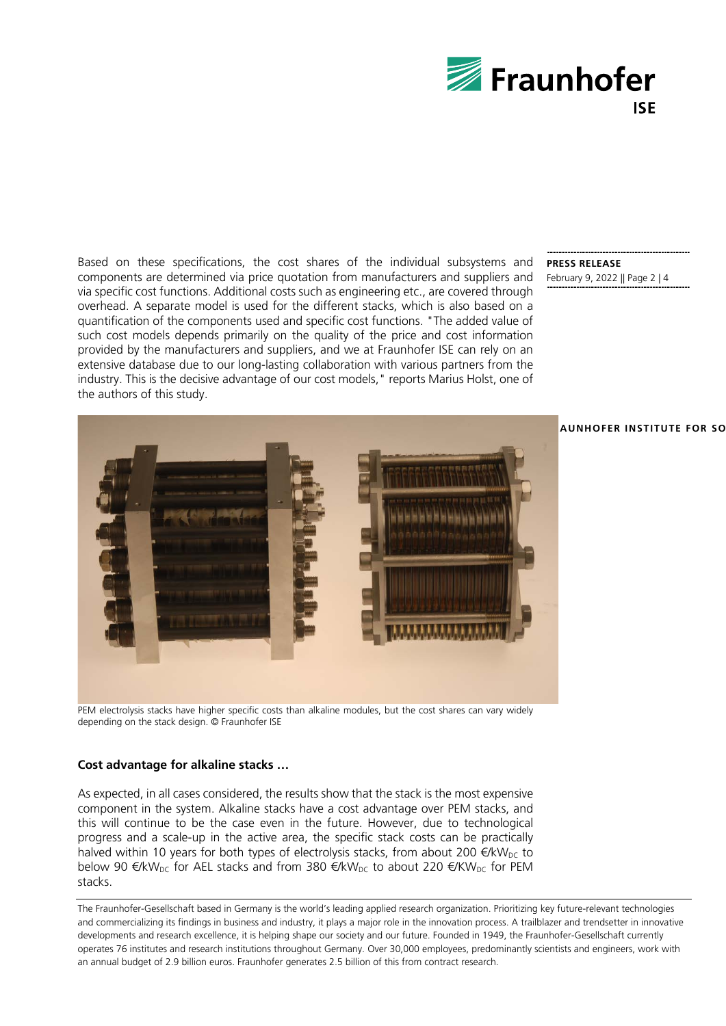

Based on these specifications, the cost shares of the individual subsystems and components are determined via price quotation from manufacturers and suppliers and via specific cost functions. Additional costs such as engineering etc., are covered through overhead. A separate model is used for the different stacks, which is also based on a quantification of the components used and specific cost functions. "The added value of such cost models depends primarily on the quality of the price and cost information provided by the manufacturers and suppliers, and we at Fraunhofer ISE can rely on an extensive database due to our long-lasting collaboration with various partners from the industry. This is the decisive advantage of our cost models," reports Marius Holst, one of the authors of this study.

### **PRESS RELEASE** February 9, 2022 || Page 2 | 4



PEM electrolysis stacks have higher specific costs than alkaline modules, but the cost shares can vary widely depending on the stack design. © Fraunhofer ISE

### **Cost advantage for alkaline stacks …**

As expected, in all cases considered, the results show that the stack is the most expensive component in the system. Alkaline stacks have a cost advantage over PEM stacks, and this will continue to be the case even in the future. However, due to technological progress and a scale-up in the active area, the specific stack costs can be practically halved within 10 years for both types of electrolysis stacks, from about 200  $\epsilon/kW_{\text{DC}}$  to below 90  $\epsilon/kW_{DC}$  for AEL stacks and from 380  $\epsilon/kW_{DC}$  to about 220  $\epsilon/KW_{DC}$  for PEM stacks.

The Fraunhofer-Gesellschaft based in Germany is the world's leading applied research organization. Prioritizing key future-relevant technologies and commercializing its findings in business and industry, it plays a major role in the innovation process. A trailblazer and trendsetter in innovative developments and research excellence, it is helping shape our society and our future. Founded in 1949, the Fraunhofer-Gesellschaft currently operates 76 institutes and research institutions throughout Germany. Over 30,000 employees, predominantly scientists and engineers, work with an annual budget of 2.9 billion euros. Fraunhofer generates 2.5 billion of this from contract research.

# **FRAUNHOFER INSTITUTE FOR SO**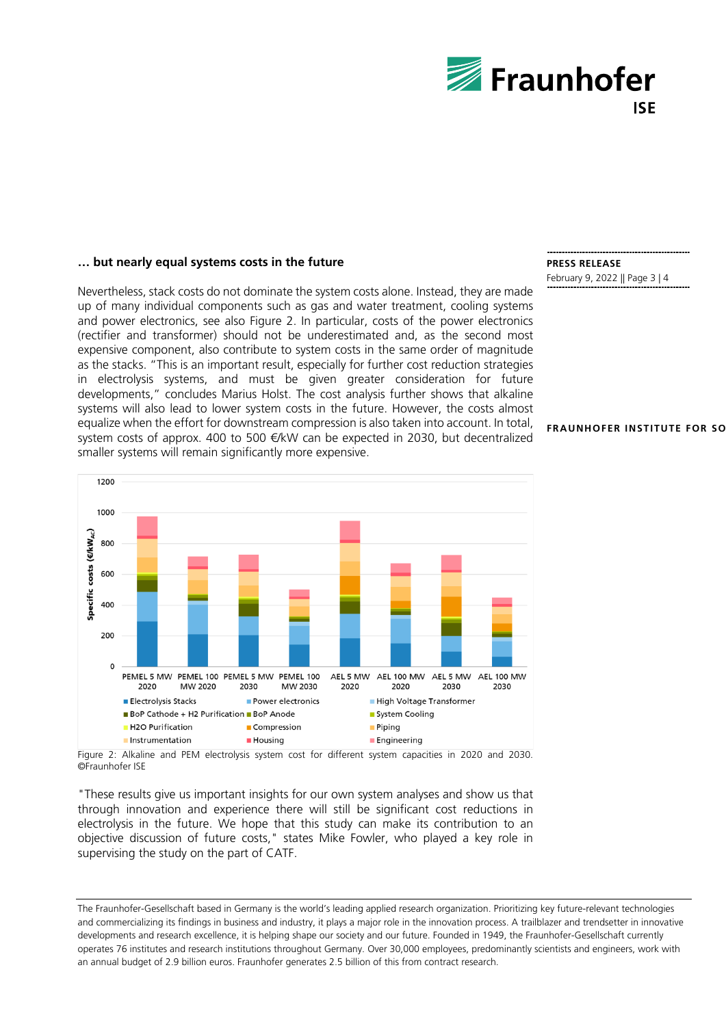

# **… but nearly equal systems costs in the future**

Nevertheless, stack costs do not dominate the system costs alone. Instead, they are made up of many individual components such as gas and water treatment, cooling systems and power electronics, see also Figure 2. In particular, costs of the power electronics (rectifier and transformer) should not be underestimated and, as the second most expensive component, also contribute to system costs in the same order of magnitude as the stacks. "This is an important result, especially for further cost reduction strategies in electrolysis systems, and must be given greater consideration for future developments," concludes Marius Holst. The cost analysis further shows that alkaline systems will also lead to lower system costs in the future. However, the costs almost equalize when the effort for downstream compression is also taken into account. In total, system costs of approx. 400 to 500 €/kW can be expected in 2030, but decentralized smaller systems will remain significantly more expensive.



# **PRESS RELEASE**

February 9, 2022 || Page 3 | 4

#### **FRAUNHOFER INSTITUTE FOR SO**

Figure 2: Alkaline and PEM electrolysis system cost for different system capacities in 2020 and 2030. ©Fraunhofer ISE

"These results give us important insights for our own system analyses and show us that through innovation and experience there will still be significant cost reductions in electrolysis in the future. We hope that this study can make its contribution to an objective discussion of future costs," states Mike Fowler, who played a key role in supervising the study on the part of CATF.

The Fraunhofer-Gesellschaft based in Germany is the world's leading applied research organization. Prioritizing key future-relevant technologies and commercializing its findings in business and industry, it plays a major role in the innovation process. A trailblazer and trendsetter in innovative developments and research excellence, it is helping shape our society and our future. Founded in 1949, the Fraunhofer-Gesellschaft currently operates 76 institutes and research institutions throughout Germany. Over 30,000 employees, predominantly scientists and engineers, work with an annual budget of 2.9 billion euros. Fraunhofer generates 2.5 billion of this from contract research.